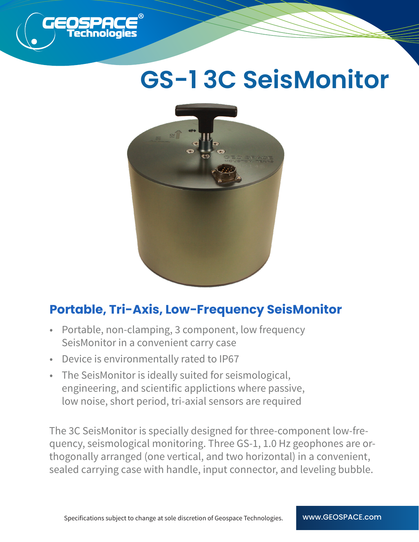

## **GS-1 3C SeisMonitor**



## **Portable, Tri-Axis, Low-Frequency SeisMonitor**

- Portable, non-clamping, 3 component, low frequency SeisMonitor in a convenient carry case
- Device is environmentally rated to IP67
- The SeisMonitor is ideally suited for seismological, engineering, and scientific applictions where passive, low noise, short period, tri-axial sensors are required

The 3C SeisMonitor is specially designed for three-component low-frequency, seismological monitoring. Three GS-1, 1.0 Hz geophones are orthogonally arranged (one vertical, and two horizontal) in a convenient, sealed carrying case with handle, input connector, and leveling bubble.